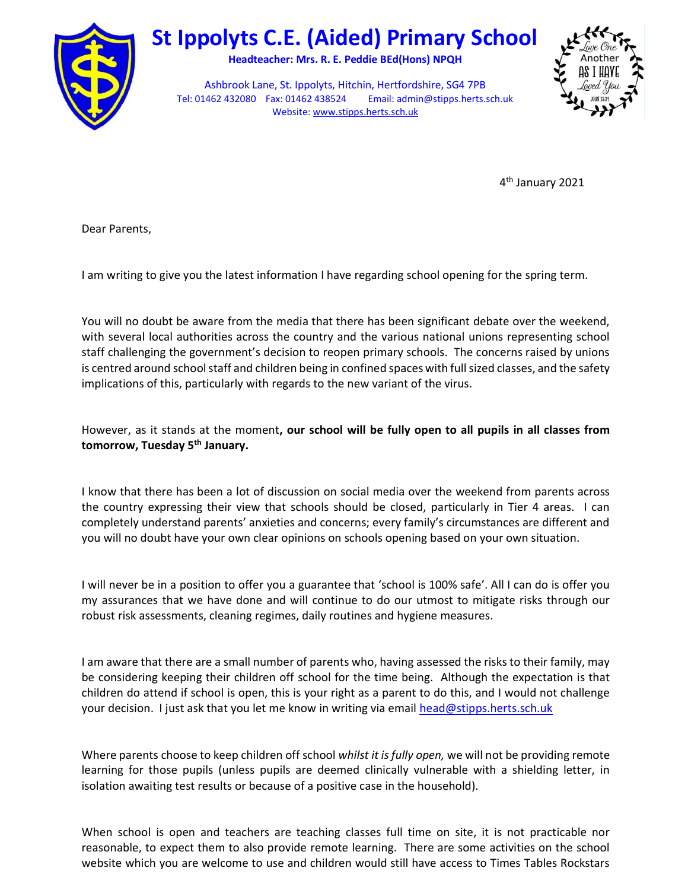

## St Ippolyts C.E. (Aided) Primary School

Headteacher: Mrs. R. E. Peddie BEd(Hons) NPQH

Ashbrook Lane, St. Ippolyts, Hitchin, Hertfordshire, SG4 7PB Tel: 01462 432080 Fax: 01462 438524 Email: admin@stipps.herts.sch.uk Website: www.stipps.herts.sch.uk



4<sup>th</sup> January 2021

Dear Parents,

I am writing to give you the latest information I have regarding school opening for the spring term.

You will no doubt be aware from the media that there has been significant debate over the weekend, with several local authorities across the country and the various national unions representing school staff challenging the government's decision to reopen primary schools. The concerns raised by unions is centred around school staff and children being in confined spaces with full sized classes, and the safety implications of this, particularly with regards to the new variant of the virus.

However, as it stands at the moment, our school will be fully open to all pupils in all classes from tomorrow, Tuesday 5<sup>th</sup> January.

I know that there has been a lot of discussion on social media over the weekend from parents across the country expressing their view that schools should be closed, particularly in Tier 4 areas. I can completely understand parents' anxieties and concerns; every family's circumstances are different and you will no doubt have your own clear opinions on schools opening based on your own situation.

I will never be in a position to offer you a guarantee that 'school is 100% safe'. All I can do is offer you my assurances that we have done and will continue to do our utmost to mitigate risks through our robust risk assessments, cleaning regimes, daily routines and hygiene measures.

I am aware that there are a small number of parents who, having assessed the risks to their family, may be considering keeping their children off school for the time being. Although the expectation is that children do attend if school is open, this is your right as a parent to do this, and I would not challenge your decision. I just ask that you let me know in writing via email head@stipps.herts.sch.uk

Where parents choose to keep children off school whilst it is fully open, we will not be providing remote learning for those pupils (unless pupils are deemed clinically vulnerable with a shielding letter, in isolation awaiting test results or because of a positive case in the household).

When school is open and teachers are teaching classes full time on site, it is not practicable nor reasonable, to expect them to also provide remote learning. There are some activities on the school website which you are welcome to use and children would still have access to Times Tables Rockstars